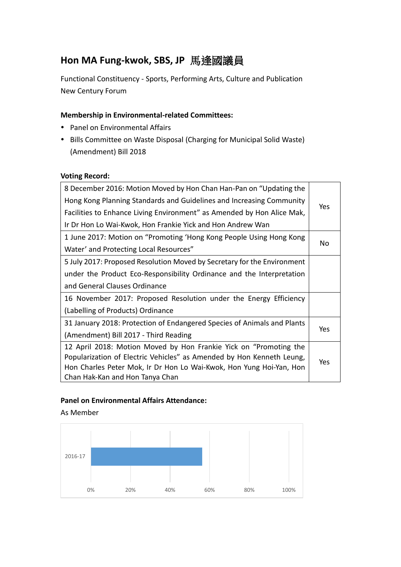# **Hon MA Fung-kwok, SBS, JP** 馬逢國議員

Functional Constituency - Sports, Performing Arts, Culture and Publication New Century Forum

## **Membership in Environmental-related Committees:**

- Panel on Environmental Affairs
- Bills Committee on Waste Disposal (Charging for Municipal Solid Waste) (Amendment) Bill 2018

#### **Voting Record:**

| 8 December 2016: Motion Moved by Hon Chan Han-Pan on "Updating the      |     |  |
|-------------------------------------------------------------------------|-----|--|
| Hong Kong Planning Standards and Guidelines and Increasing Community    | Yes |  |
| Facilities to Enhance Living Environment" as Amended by Hon Alice Mak,  |     |  |
| Ir Dr Hon Lo Wai-Kwok, Hon Frankie Yick and Hon Andrew Wan              |     |  |
| 1 June 2017: Motion on "Promoting 'Hong Kong People Using Hong Kong     |     |  |
| Water' and Protecting Local Resources"                                  | No  |  |
| 5 July 2017: Proposed Resolution Moved by Secretary for the Environment |     |  |
| under the Product Eco-Responsibility Ordinance and the Interpretation   |     |  |
| and General Clauses Ordinance                                           |     |  |
| 16 November 2017: Proposed Resolution under the Energy Efficiency       |     |  |
| (Labelling of Products) Ordinance                                       |     |  |
| 31 January 2018: Protection of Endangered Species of Animals and Plants |     |  |
| (Amendment) Bill 2017 - Third Reading                                   | Yes |  |
| 12 April 2018: Motion Moved by Hon Frankie Yick on "Promoting the       |     |  |
| Popularization of Electric Vehicles" as Amended by Hon Kenneth Leung,   | Yes |  |
| Hon Charles Peter Mok, Ir Dr Hon Lo Wai-Kwok, Hon Yung Hoi-Yan, Hon     |     |  |
| Chan Hak-Kan and Hon Tanya Chan                                         |     |  |

### **Panel on Environmental Affairs Attendance:**

### As Member

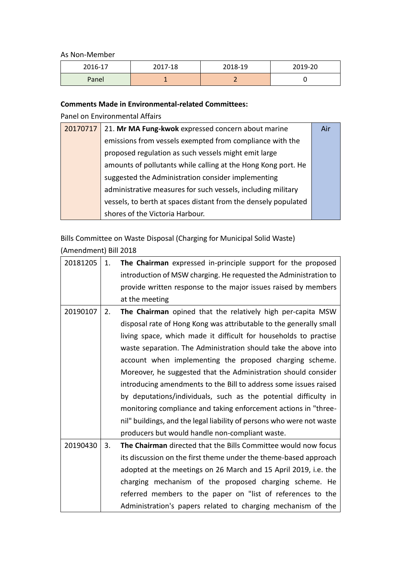As Non-Member

| 2016-17 | 2017-18 | 2018-19 | 2019-20 |
|---------|---------|---------|---------|
| Panel   | -       |         |         |

#### **Comments Made in Environmental-related Committees:**

Panel on Environmental Affairs

| 20170717 | 21. Mr MA Fung-kwok expressed concern about marine             | Air |
|----------|----------------------------------------------------------------|-----|
|          | emissions from vessels exempted from compliance with the       |     |
|          | proposed regulation as such vessels might emit large           |     |
|          | amounts of pollutants while calling at the Hong Kong port. He  |     |
|          | suggested the Administration consider implementing             |     |
|          | administrative measures for such vessels, including military   |     |
|          | vessels, to berth at spaces distant from the densely populated |     |
|          | shores of the Victoria Harbour.                                |     |

Bills Committee on Waste Disposal (Charging for Municipal Solid Waste)

(Amendment) Bill 2018

| 20181205 | 1. | The Chairman expressed in-principle support for the proposed          |
|----------|----|-----------------------------------------------------------------------|
|          |    | introduction of MSW charging. He requested the Administration to      |
|          |    | provide written response to the major issues raised by members        |
|          |    | at the meeting                                                        |
| 20190107 | 2. | The Chairman opined that the relatively high per-capita MSW           |
|          |    | disposal rate of Hong Kong was attributable to the generally small    |
|          |    | living space, which made it difficult for households to practise      |
|          |    | waste separation. The Administration should take the above into       |
|          |    | account when implementing the proposed charging scheme.               |
|          |    | Moreover, he suggested that the Administration should consider        |
|          |    | introducing amendments to the Bill to address some issues raised      |
|          |    | by deputations/individuals, such as the potential difficulty in       |
|          |    | monitoring compliance and taking enforcement actions in "three-       |
|          |    | nil" buildings, and the legal liability of persons who were not waste |
|          |    | producers but would handle non-compliant waste.                       |
| 20190430 | 3. | The Chairman directed that the Bills Committee would now focus        |
|          |    | its discussion on the first theme under the theme-based approach      |
|          |    | adopted at the meetings on 26 March and 15 April 2019, i.e. the       |
|          |    | charging mechanism of the proposed charging scheme. He                |
|          |    | referred members to the paper on "list of references to the           |
|          |    | Administration's papers related to charging mechanism of the          |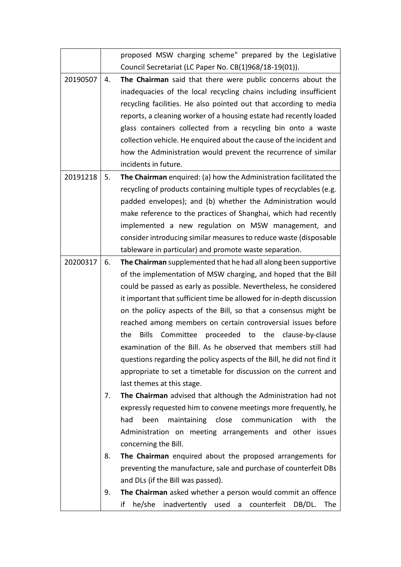|          |    | proposed MSW charging scheme" prepared by the Legislative              |
|----------|----|------------------------------------------------------------------------|
|          |    | Council Secretariat (LC Paper No. CB(1)968/18-19(01)).                 |
| 20190507 | 4. | The Chairman said that there were public concerns about the            |
|          |    | inadequacies of the local recycling chains including insufficient      |
|          |    | recycling facilities. He also pointed out that according to media      |
|          |    | reports, a cleaning worker of a housing estate had recently loaded     |
|          |    | glass containers collected from a recycling bin onto a waste           |
|          |    | collection vehicle. He enquired about the cause of the incident and    |
|          |    | how the Administration would prevent the recurrence of similar         |
|          |    | incidents in future.                                                   |
| 20191218 | 5. | The Chairman enquired: (a) how the Administration facilitated the      |
|          |    | recycling of products containing multiple types of recyclables (e.g.   |
|          |    | padded envelopes); and (b) whether the Administration would            |
|          |    | make reference to the practices of Shanghai, which had recently        |
|          |    | implemented a new regulation on MSW management, and                    |
|          |    | consider introducing similar measures to reduce waste (disposable      |
|          |    | tableware in particular) and promote waste separation.                 |
| 20200317 | 6. | The Chairman supplemented that he had all along been supportive        |
|          |    | of the implementation of MSW charging, and hoped that the Bill         |
|          |    | could be passed as early as possible. Nevertheless, he considered      |
|          |    | it important that sufficient time be allowed for in-depth discussion   |
|          |    | on the policy aspects of the Bill, so that a consensus might be        |
|          |    | reached among members on certain controversial issues before           |
|          |    | Bills Committee proceeded to the clause-by-clause<br>the               |
|          |    | examination of the Bill. As he observed that members still had         |
|          |    | questions regarding the policy aspects of the Bill, he did not find it |
|          |    | appropriate to set a timetable for discussion on the current and       |
|          |    | last themes at this stage.                                             |
|          | 7. | The Chairman advised that although the Administration had not          |
|          |    | expressly requested him to convene meetings more frequently, he        |
|          |    | had<br>been<br>maintaining close communication<br>with the             |
|          |    | Administration on meeting arrangements and other issues                |
|          |    | concerning the Bill.                                                   |
|          | 8. | The Chairman enquired about the proposed arrangements for              |
|          |    | preventing the manufacture, sale and purchase of counterfeit DBs       |
|          |    | and DLs (if the Bill was passed).                                      |
|          | 9. | The Chairman asked whether a person would commit an offence            |
|          |    | if<br>he/she<br>inadvertently used a<br>counterfeit<br>DB/DL.<br>The   |